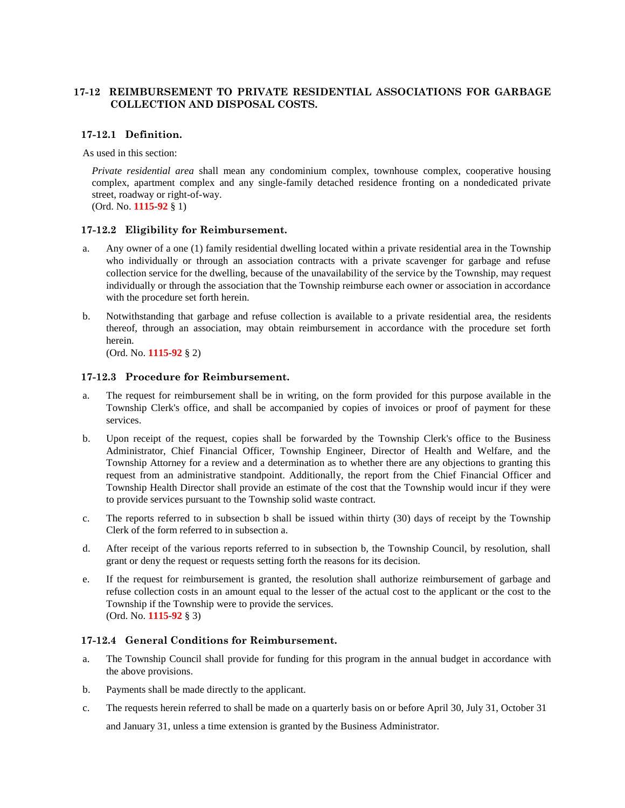# **17-12 REIMBURSEMENT TO PRIVATE RESIDENTIAL ASSOCIATIONS FOR GARBAGE COLLECTION AND DISPOSAL COSTS.**

### **17-12.1 Definition.**

As used in this section:

*Private residential area* shall mean any condominium complex, townhouse complex, cooperative housing complex, apartment complex and any single-family detached residence fronting on a nondedicated private street, roadway or right-of-way.

(Ord. No. **1115**-**92** § 1)

### **17-12.2 Eligibility for Reimbursement.**

- a. Any owner of a one (1) family residential dwelling located within a private residential area in the Township who individually or through an association contracts with a private scavenger for garbage and refuse collection service for the dwelling, because of the unavailability of the service by the Township, may request individually or through the association that the Township reimburse each owner or association in accordance with the procedure set forth herein.
- b. Notwithstanding that garbage and refuse collection is available to a private residential area, the residents thereof, through an association, may obtain reimbursement in accordance with the procedure set forth herein.

(Ord. No. **1115**-**92** § 2)

## **17-12.3 Procedure for Reimbursement.**

- a. The request for reimbursement shall be in writing, on the form provided for this purpose available in the Township Clerk's office, and shall be accompanied by copies of invoices or proof of payment for these services.
- b. Upon receipt of the request, copies shall be forwarded by the Township Clerk's office to the Business Administrator, Chief Financial Officer, Township Engineer, Director of Health and Welfare, and the Township Attorney for a review and a determination as to whether there are any objections to granting this request from an administrative standpoint. Additionally, the report from the Chief Financial Officer and Township Health Director shall provide an estimate of the cost that the Township would incur if they were to provide services pursuant to the Township solid waste contract.
- c. The reports referred to in subsection b shall be issued within thirty (30) days of receipt by the Township Clerk of the form referred to in subsection a.
- d. After receipt of the various reports referred to in subsection b, the Township Council, by resolution, shall grant or deny the request or requests setting forth the reasons for its decision.
- e. If the request for reimbursement is granted, the resolution shall authorize reimbursement of garbage and refuse collection costs in an amount equal to the lesser of the actual cost to the applicant or the cost to the Township if the Township were to provide the services. (Ord. No. **1115**-**92** § 3)

#### **17-12.4 General Conditions for Reimbursement.**

- a. The Township Council shall provide for funding for this program in the annual budget in accordance with the above provisions.
- b. Payments shall be made directly to the applicant.
- c. The requests herein referred to shall be made on a quarterly basis on or before April 30, July 31, October 31 and January 31, unless a time extension is granted by the Business Administrator.